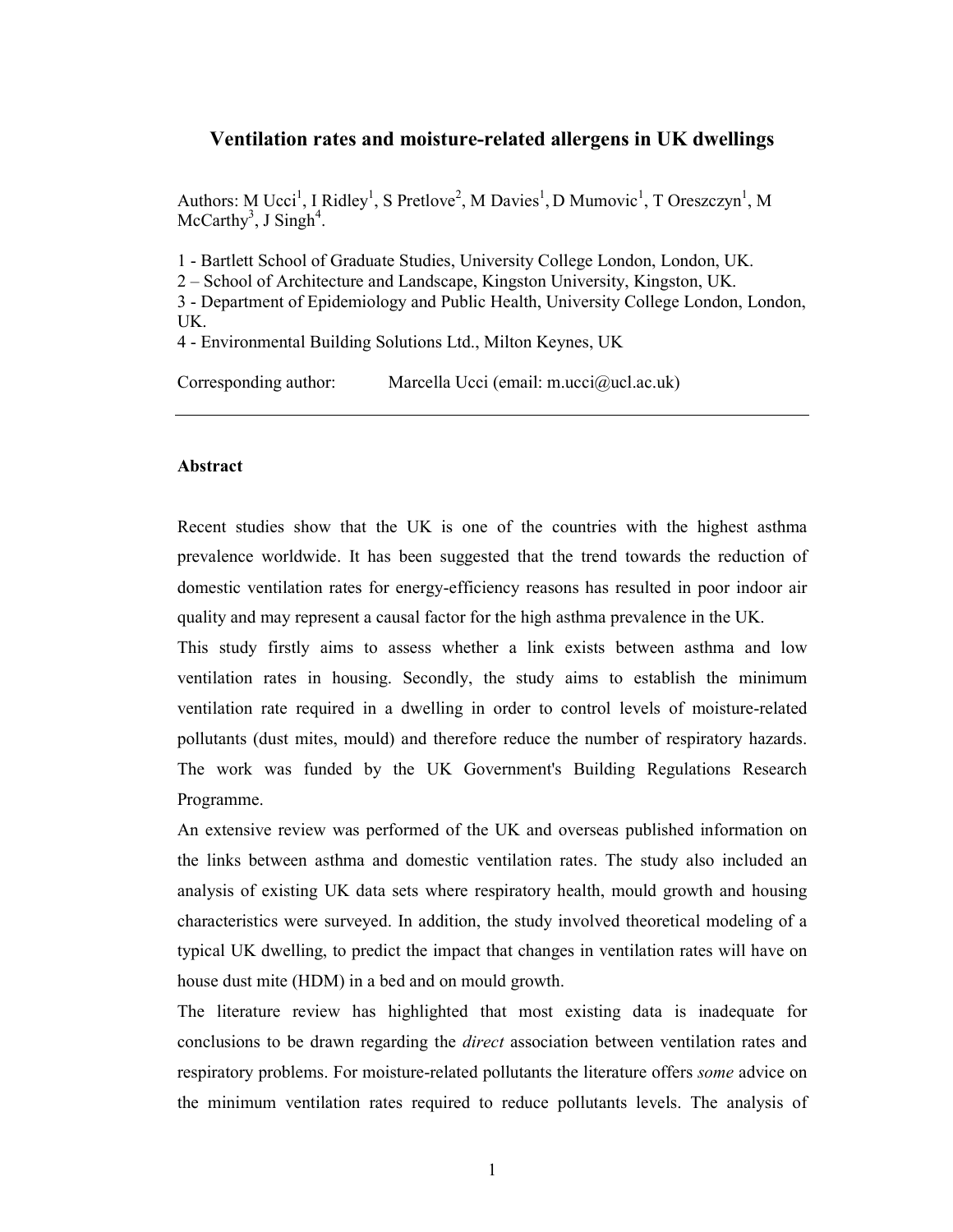# Ventilation rates and moisture-related allergens in UK dwellings

Authors: M Ucci<sup>1</sup>, I Ridley<sup>1</sup>, S Pretlove<sup>2</sup>, M Davies<sup>1</sup>, D Mumovic<sup>1</sup>, T Oreszczyn<sup>1</sup>, M McCarthy<sup>3</sup>, J Singh<sup>4</sup>.

1 - Bartlett School of Graduate Studies, University College London, London, UK.

2 – School of Architecture and Landscape, Kingston University, Kingston, UK.

3 - Department of Epidemiology and Public Health, University College London, London, UK.

4 - Environmental Building Solutions Ltd., Milton Keynes, UK

Corresponding author: Marcella Ucci (email: m.ucci@ucl.ac.uk)

#### Abstract

Recent studies show that the UK is one of the countries with the highest asthma prevalence worldwide. It has been suggested that the trend towards the reduction of domestic ventilation rates for energy-efficiency reasons has resulted in poor indoor air quality and may represent a causal factor for the high asthma prevalence in the UK.

This study firstly aims to assess whether a link exists between asthma and low ventilation rates in housing. Secondly, the study aims to establish the minimum ventilation rate required in a dwelling in order to control levels of moisture-related pollutants (dust mites, mould) and therefore reduce the number of respiratory hazards. The work was funded by the UK Government's Building Regulations Research Programme.

An extensive review was performed of the UK and overseas published information on the links between asthma and domestic ventilation rates. The study also included an analysis of existing UK data sets where respiratory health, mould growth and housing characteristics were surveyed. In addition, the study involved theoretical modeling of a typical UK dwelling, to predict the impact that changes in ventilation rates will have on house dust mite (HDM) in a bed and on mould growth.

The literature review has highlighted that most existing data is inadequate for conclusions to be drawn regarding the direct association between ventilation rates and respiratory problems. For moisture-related pollutants the literature offers some advice on the minimum ventilation rates required to reduce pollutants levels. The analysis of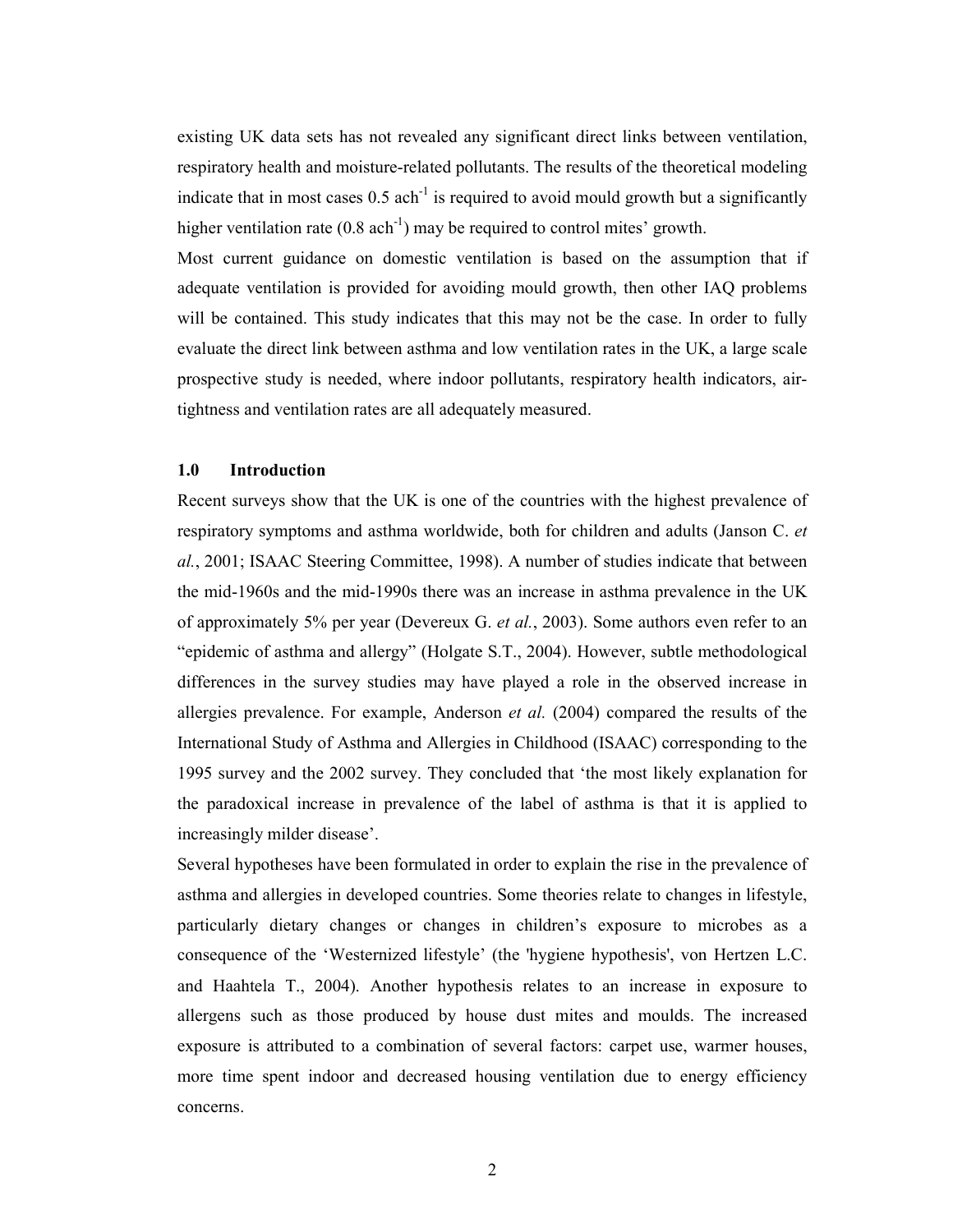existing UK data sets has not revealed any significant direct links between ventilation, respiratory health and moisture-related pollutants. The results of the theoretical modeling indicate that in most cases  $0.5$  ach<sup>-1</sup> is required to avoid mould growth but a significantly higher ventilation rate  $(0.8 \text{ ach}^{-1})$  may be required to control mites' growth.

Most current guidance on domestic ventilation is based on the assumption that if adequate ventilation is provided for avoiding mould growth, then other IAQ problems will be contained. This study indicates that this may not be the case. In order to fully evaluate the direct link between asthma and low ventilation rates in the UK, a large scale prospective study is needed, where indoor pollutants, respiratory health indicators, airtightness and ventilation rates are all adequately measured.

## 1.0 Introduction

Recent surveys show that the UK is one of the countries with the highest prevalence of respiratory symptoms and asthma worldwide, both for children and adults (Janson C. et al., 2001; ISAAC Steering Committee, 1998). A number of studies indicate that between the mid-1960s and the mid-1990s there was an increase in asthma prevalence in the UK of approximately 5% per year (Devereux G. et al., 2003). Some authors even refer to an "epidemic of asthma and allergy" (Holgate S.T., 2004). However, subtle methodological differences in the survey studies may have played a role in the observed increase in allergies prevalence. For example, Anderson et al. (2004) compared the results of the International Study of Asthma and Allergies in Childhood (ISAAC) corresponding to the 1995 survey and the 2002 survey. They concluded that 'the most likely explanation for the paradoxical increase in prevalence of the label of asthma is that it is applied to increasingly milder disease'.

Several hypotheses have been formulated in order to explain the rise in the prevalence of asthma and allergies in developed countries. Some theories relate to changes in lifestyle, particularly dietary changes or changes in children's exposure to microbes as a consequence of the 'Westernized lifestyle' (the 'hygiene hypothesis', von Hertzen L.C. and Haahtela T., 2004). Another hypothesis relates to an increase in exposure to allergens such as those produced by house dust mites and moulds. The increased exposure is attributed to a combination of several factors: carpet use, warmer houses, more time spent indoor and decreased housing ventilation due to energy efficiency concerns.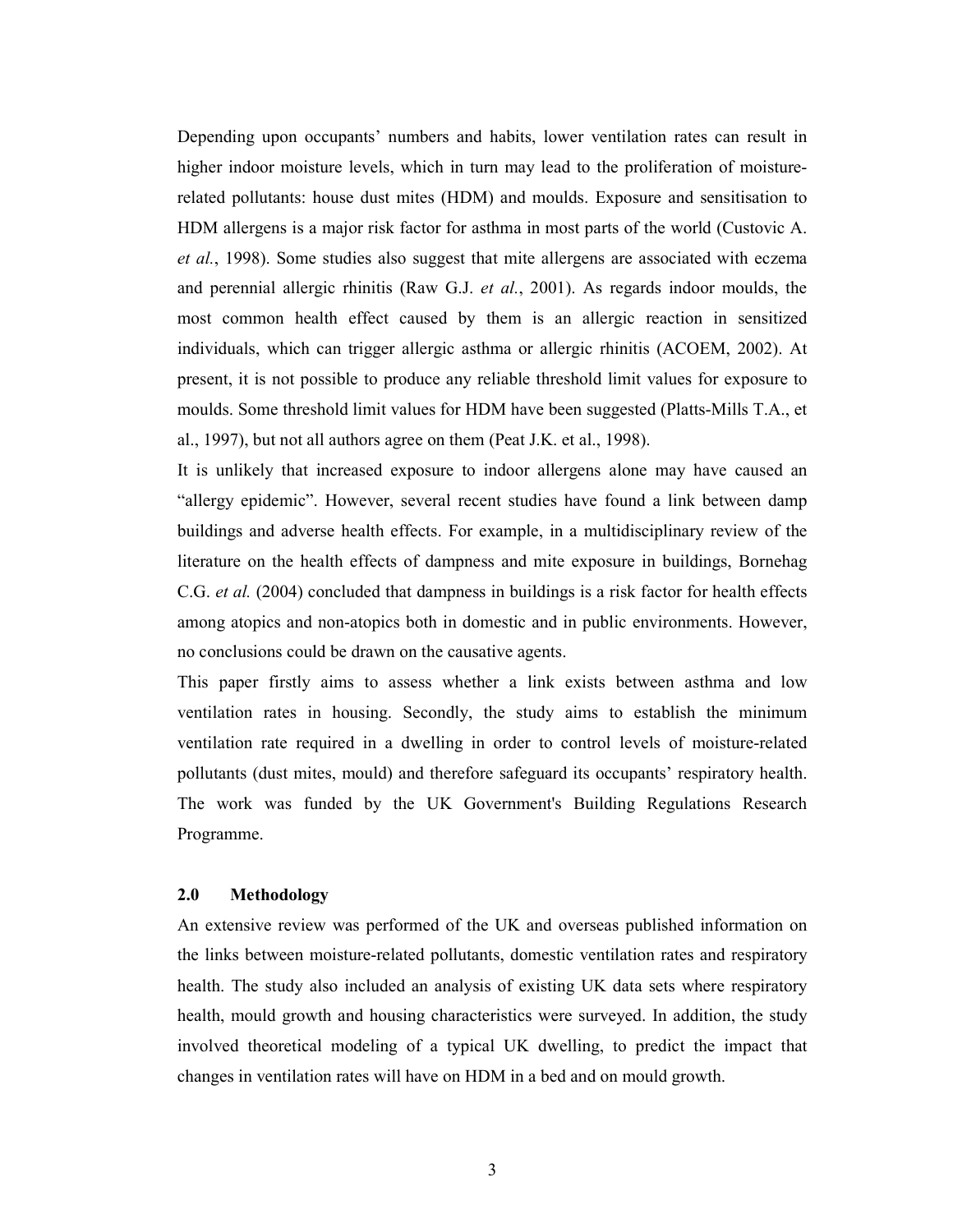Depending upon occupants' numbers and habits, lower ventilation rates can result in higher indoor moisture levels, which in turn may lead to the proliferation of moisturerelated pollutants: house dust mites (HDM) and moulds. Exposure and sensitisation to HDM allergens is a major risk factor for asthma in most parts of the world (Custovic A. et al., 1998). Some studies also suggest that mite allergens are associated with eczema and perennial allergic rhinitis (Raw G.J. et al., 2001). As regards indoor moulds, the most common health effect caused by them is an allergic reaction in sensitized individuals, which can trigger allergic asthma or allergic rhinitis (ACOEM, 2002). At present, it is not possible to produce any reliable threshold limit values for exposure to moulds. Some threshold limit values for HDM have been suggested (Platts-Mills T.A., et al., 1997), but not all authors agree on them (Peat J.K. et al., 1998).

It is unlikely that increased exposure to indoor allergens alone may have caused an "allergy epidemic". However, several recent studies have found a link between damp buildings and adverse health effects. For example, in a multidisciplinary review of the literature on the health effects of dampness and mite exposure in buildings, Bornehag C.G. *et al.* (2004) concluded that dampness in buildings is a risk factor for health effects among atopics and non-atopics both in domestic and in public environments. However, no conclusions could be drawn on the causative agents.

This paper firstly aims to assess whether a link exists between asthma and low ventilation rates in housing. Secondly, the study aims to establish the minimum ventilation rate required in a dwelling in order to control levels of moisture-related pollutants (dust mites, mould) and therefore safeguard its occupants' respiratory health. The work was funded by the UK Government's Building Regulations Research Programme.

# 2.0 Methodology

An extensive review was performed of the UK and overseas published information on the links between moisture-related pollutants, domestic ventilation rates and respiratory health. The study also included an analysis of existing UK data sets where respiratory health, mould growth and housing characteristics were surveyed. In addition, the study involved theoretical modeling of a typical UK dwelling, to predict the impact that changes in ventilation rates will have on HDM in a bed and on mould growth.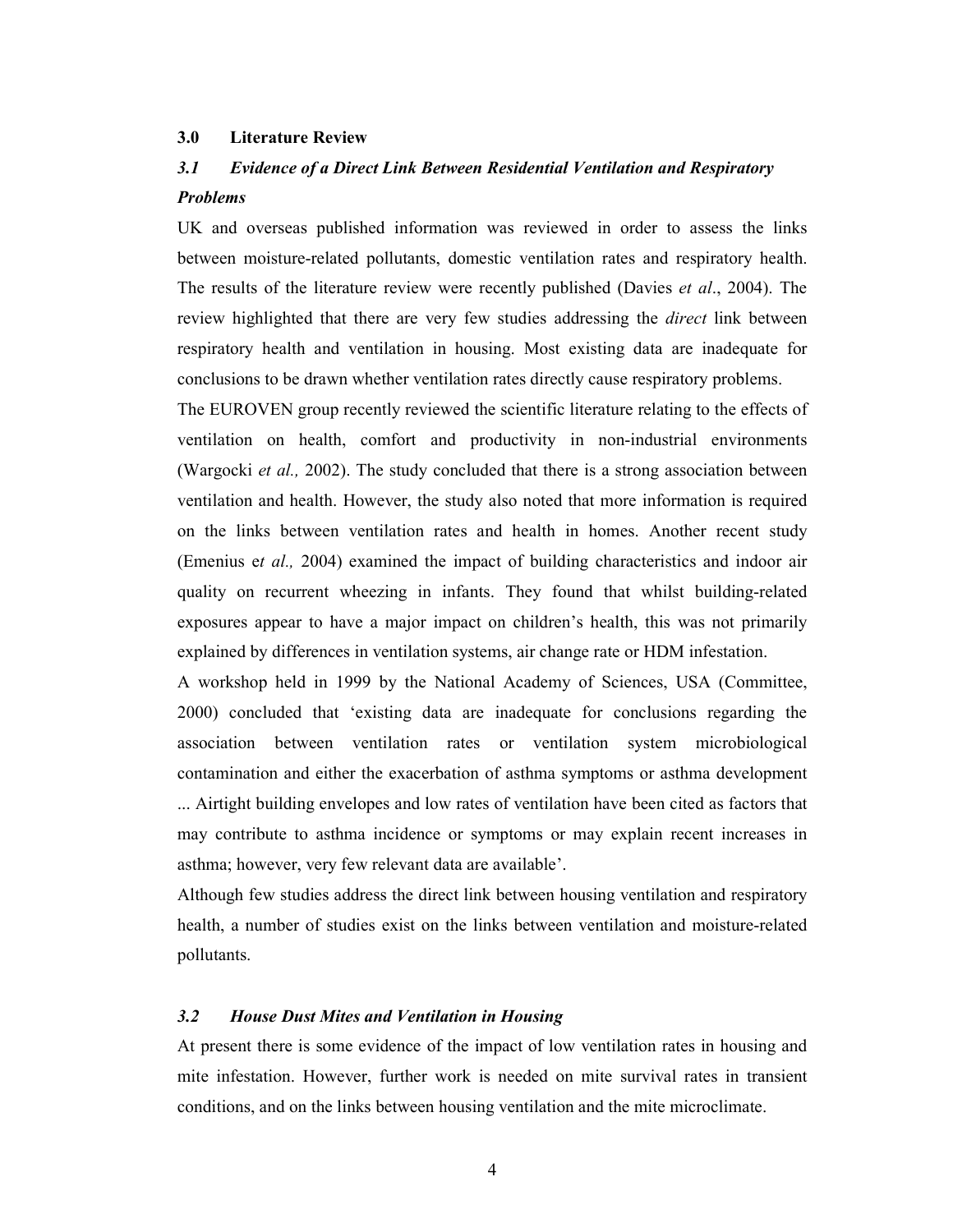## 3.0 Literature Review

# 3.1 Evidence of a Direct Link Between Residential Ventilation and Respiratory Problems

UK and overseas published information was reviewed in order to assess the links between moisture-related pollutants, domestic ventilation rates and respiratory health. The results of the literature review were recently published (Davies *et al.*, 2004). The review highlighted that there are very few studies addressing the *direct* link between respiratory health and ventilation in housing. Most existing data are inadequate for conclusions to be drawn whether ventilation rates directly cause respiratory problems.

The EUROVEN group recently reviewed the scientific literature relating to the effects of ventilation on health, comfort and productivity in non-industrial environments (Wargocki et al., 2002). The study concluded that there is a strong association between ventilation and health. However, the study also noted that more information is required on the links between ventilation rates and health in homes. Another recent study (Emenius et al., 2004) examined the impact of building characteristics and indoor air quality on recurrent wheezing in infants. They found that whilst building-related exposures appear to have a major impact on children's health, this was not primarily explained by differences in ventilation systems, air change rate or HDM infestation.

A workshop held in 1999 by the National Academy of Sciences, USA (Committee, 2000) concluded that 'existing data are inadequate for conclusions regarding the association between ventilation rates or ventilation system microbiological contamination and either the exacerbation of asthma symptoms or asthma development ... Airtight building envelopes and low rates of ventilation have been cited as factors that

may contribute to asthma incidence or symptoms or may explain recent increases in asthma; however, very few relevant data are available'.

Although few studies address the direct link between housing ventilation and respiratory health, a number of studies exist on the links between ventilation and moisture-related pollutants.

#### 3.2 House Dust Mites and Ventilation in Housing

At present there is some evidence of the impact of low ventilation rates in housing and mite infestation. However, further work is needed on mite survival rates in transient conditions, and on the links between housing ventilation and the mite microclimate.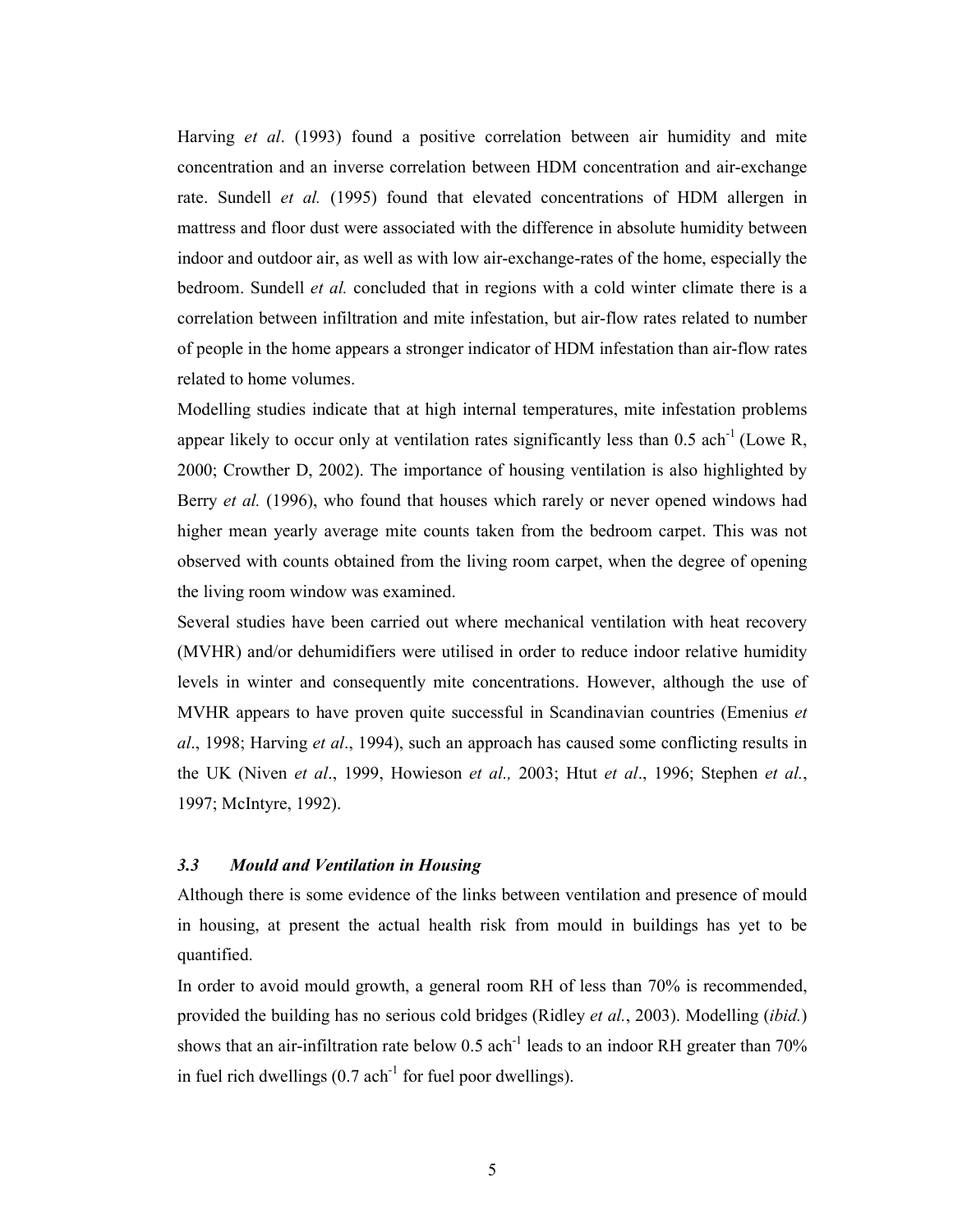Harving et al. (1993) found a positive correlation between air humidity and mite concentration and an inverse correlation between HDM concentration and air-exchange rate. Sundell et al. (1995) found that elevated concentrations of HDM allergen in mattress and floor dust were associated with the difference in absolute humidity between indoor and outdoor air, as well as with low air-exchange-rates of the home, especially the bedroom. Sundell *et al.* concluded that in regions with a cold winter climate there is a correlation between infiltration and mite infestation, but air-flow rates related to number of people in the home appears a stronger indicator of HDM infestation than air-flow rates related to home volumes.

Modelling studies indicate that at high internal temperatures, mite infestation problems appear likely to occur only at ventilation rates significantly less than  $0.5$  ach<sup>-1</sup> (Lowe R, 2000; Crowther D, 2002). The importance of housing ventilation is also highlighted by Berry *et al.* (1996), who found that houses which rarely or never opened windows had higher mean yearly average mite counts taken from the bedroom carpet. This was not observed with counts obtained from the living room carpet, when the degree of opening the living room window was examined.

Several studies have been carried out where mechanical ventilation with heat recovery (MVHR) and/or dehumidifiers were utilised in order to reduce indoor relative humidity levels in winter and consequently mite concentrations. However, although the use of MVHR appears to have proven quite successful in Scandinavian countries (Emenius *et* al., 1998; Harving et al., 1994), such an approach has caused some conflicting results in the UK (Niven et al., 1999, Howieson et al., 2003; Htut et al., 1996; Stephen et al., 1997; McIntyre, 1992).

## 3.3 Mould and Ventilation in Housing

Although there is some evidence of the links between ventilation and presence of mould in housing, at present the actual health risk from mould in buildings has yet to be quantified.

In order to avoid mould growth, a general room RH of less than 70% is recommended, provided the building has no serious cold bridges (Ridley et al., 2003). Modelling (ibid.) shows that an air-infiltration rate below  $0.5$  ach<sup>-1</sup> leads to an indoor RH greater than 70% in fuel rich dwellings  $(0.7 \text{ ach}^{-1}$  for fuel poor dwellings).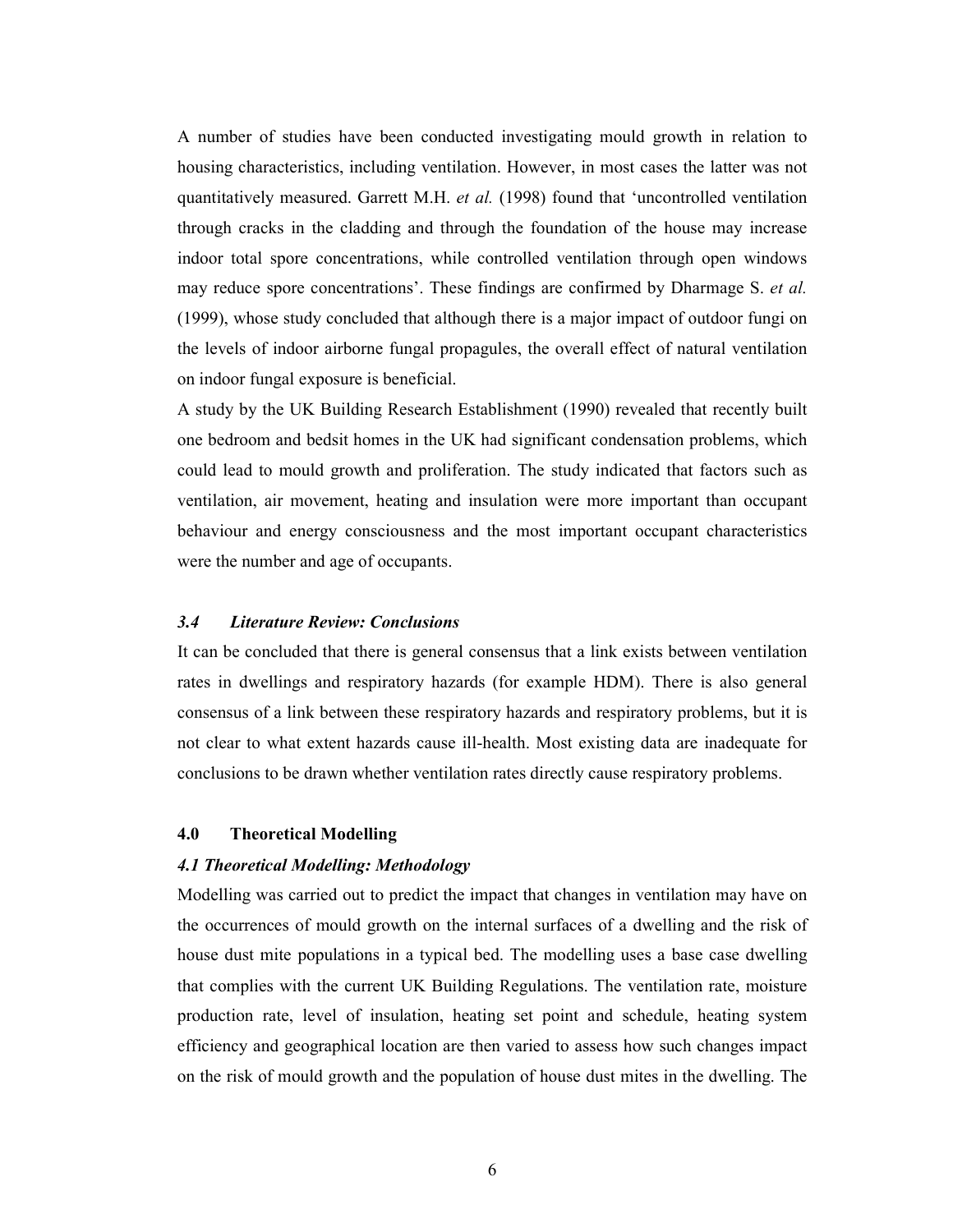A number of studies have been conducted investigating mould growth in relation to housing characteristics, including ventilation. However, in most cases the latter was not quantitatively measured. Garrett M.H. et al. (1998) found that 'uncontrolled ventilation through cracks in the cladding and through the foundation of the house may increase indoor total spore concentrations, while controlled ventilation through open windows may reduce spore concentrations'. These findings are confirmed by Dharmage S. et al. (1999), whose study concluded that although there is a major impact of outdoor fungi on the levels of indoor airborne fungal propagules, the overall effect of natural ventilation on indoor fungal exposure is beneficial.

A study by the UK Building Research Establishment (1990) revealed that recently built one bedroom and bedsit homes in the UK had significant condensation problems, which could lead to mould growth and proliferation. The study indicated that factors such as ventilation, air movement, heating and insulation were more important than occupant behaviour and energy consciousness and the most important occupant characteristics were the number and age of occupants.

#### 3.4 Literature Review: Conclusions

It can be concluded that there is general consensus that a link exists between ventilation rates in dwellings and respiratory hazards (for example HDM). There is also general consensus of a link between these respiratory hazards and respiratory problems, but it is not clear to what extent hazards cause ill-health. Most existing data are inadequate for conclusions to be drawn whether ventilation rates directly cause respiratory problems.

## 4.0 Theoretical Modelling

#### 4.1 Theoretical Modelling: Methodology

Modelling was carried out to predict the impact that changes in ventilation may have on the occurrences of mould growth on the internal surfaces of a dwelling and the risk of house dust mite populations in a typical bed. The modelling uses a base case dwelling that complies with the current UK Building Regulations. The ventilation rate, moisture production rate, level of insulation, heating set point and schedule, heating system efficiency and geographical location are then varied to assess how such changes impact on the risk of mould growth and the population of house dust mites in the dwelling. The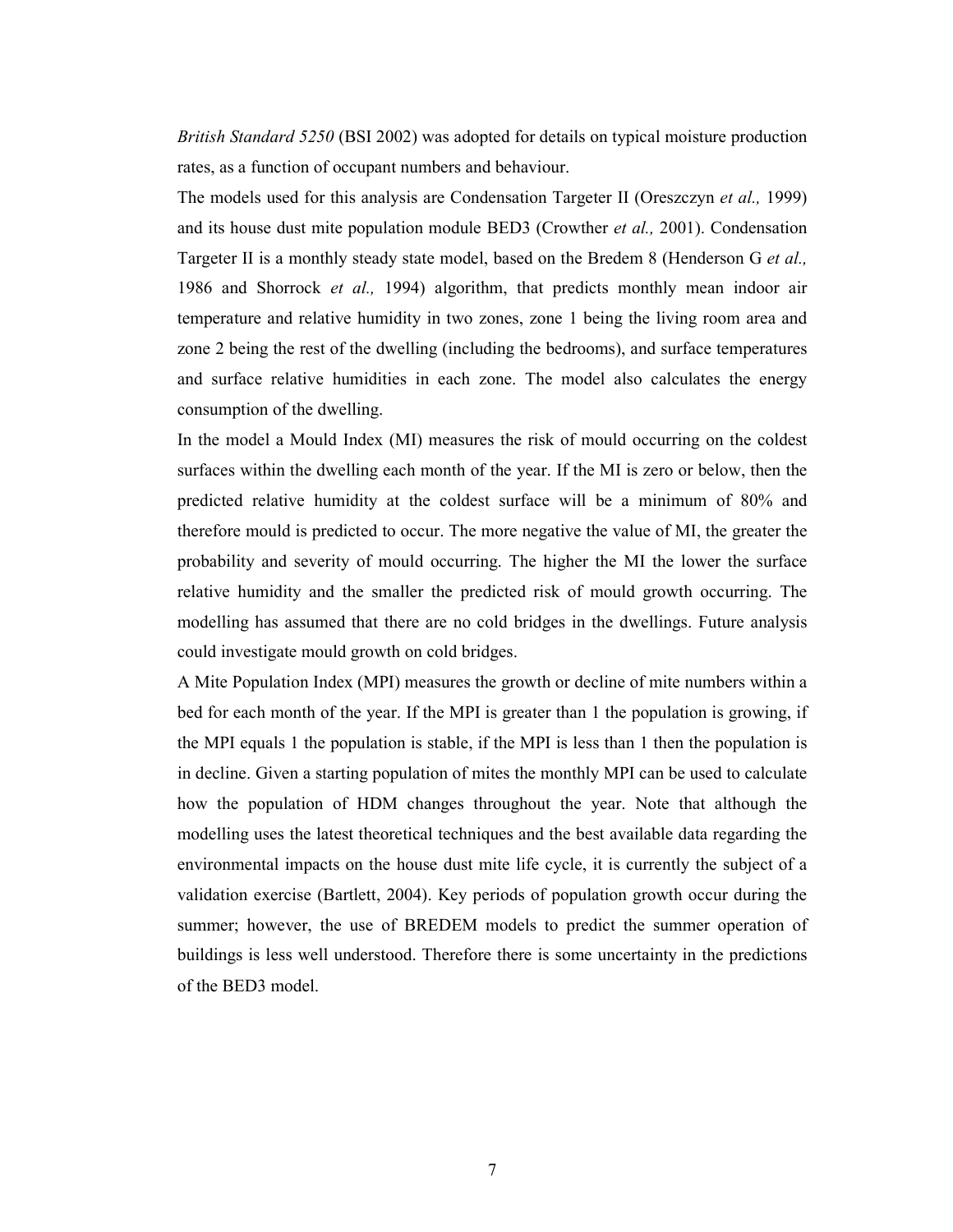British Standard 5250 (BSI 2002) was adopted for details on typical moisture production rates, as a function of occupant numbers and behaviour.

The models used for this analysis are Condensation Targeter II (Oreszczyn et al., 1999) and its house dust mite population module BED3 (Crowther et al., 2001). Condensation Targeter II is a monthly steady state model, based on the Bredem 8 (Henderson G et al., 1986 and Shorrock et al., 1994) algorithm, that predicts monthly mean indoor air temperature and relative humidity in two zones, zone 1 being the living room area and zone 2 being the rest of the dwelling (including the bedrooms), and surface temperatures and surface relative humidities in each zone. The model also calculates the energy consumption of the dwelling.

In the model a Mould Index (MI) measures the risk of mould occurring on the coldest surfaces within the dwelling each month of the year. If the MI is zero or below, then the predicted relative humidity at the coldest surface will be a minimum of 80% and therefore mould is predicted to occur. The more negative the value of MI, the greater the probability and severity of mould occurring. The higher the MI the lower the surface relative humidity and the smaller the predicted risk of mould growth occurring. The modelling has assumed that there are no cold bridges in the dwellings. Future analysis could investigate mould growth on cold bridges.

A Mite Population Index (MPI) measures the growth or decline of mite numbers within a bed for each month of the year. If the MPI is greater than 1 the population is growing, if the MPI equals 1 the population is stable, if the MPI is less than 1 then the population is in decline. Given a starting population of mites the monthly MPI can be used to calculate how the population of HDM changes throughout the year. Note that although the modelling uses the latest theoretical techniques and the best available data regarding the environmental impacts on the house dust mite life cycle, it is currently the subject of a validation exercise (Bartlett, 2004). Key periods of population growth occur during the summer; however, the use of BREDEM models to predict the summer operation of buildings is less well understood. Therefore there is some uncertainty in the predictions of the BED3 model.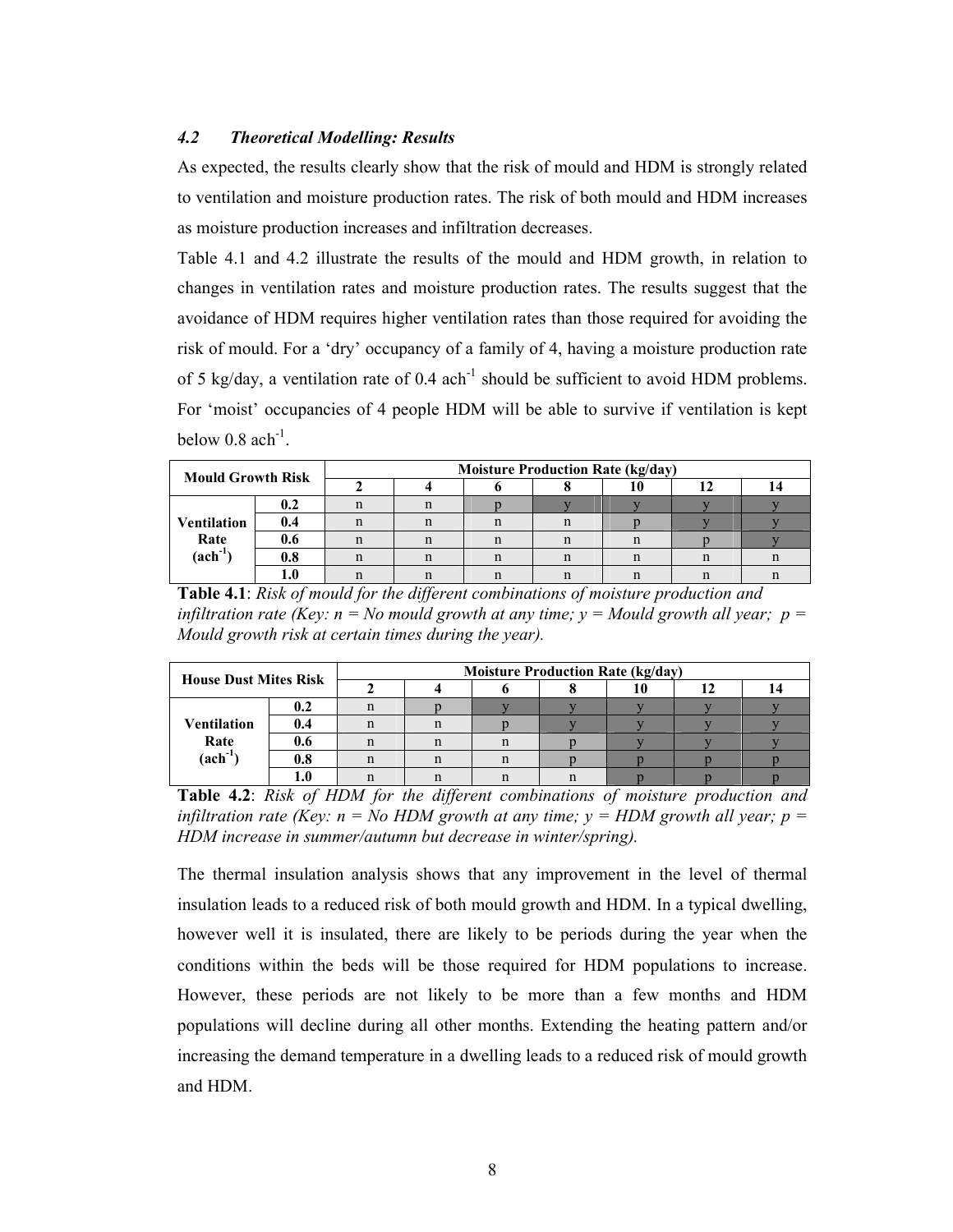# 4.2 Theoretical Modelling: Results

As expected, the results clearly show that the risk of mould and HDM is strongly related to ventilation and moisture production rates. The risk of both mould and HDM increases as moisture production increases and infiltration decreases.

Table 4.1 and 4.2 illustrate the results of the mould and HDM growth, in relation to changes in ventilation rates and moisture production rates. The results suggest that the avoidance of HDM requires higher ventilation rates than those required for avoiding the risk of mould. For a 'dry' occupancy of a family of 4, having a moisture production rate of 5 kg/day, a ventilation rate of  $0.4 \text{ ach}^{-1}$  should be sufficient to avoid HDM problems. For 'moist' occupancies of 4 people HDM will be able to survive if ventilation is kept below  $0.8$  ach<sup>-1</sup>.

| <b>Mould Growth Risk</b> |         | <b>Moisture Production Rate (kg/day)</b> |  |   |    |  |  |  |  |  |
|--------------------------|---------|------------------------------------------|--|---|----|--|--|--|--|--|
|                          |         |                                          |  |   |    |  |  |  |  |  |
|                          | 0.2     |                                          |  |   |    |  |  |  |  |  |
| <b>Ventilation</b>       | 0.4     |                                          |  | п | n  |  |  |  |  |  |
| Rate                     | 0.6     |                                          |  | n | n  |  |  |  |  |  |
| $(\text{ach}^{-1})$      | $0.8\,$ |                                          |  |   | n  |  |  |  |  |  |
|                          |         |                                          |  |   | '' |  |  |  |  |  |

Table 4.1: Risk of mould for the different combinations of moisture production and infiltration rate (Key:  $n = No$  mould growth at any time;  $y = M$ ould growth all year;  $p =$ Mould growth risk at certain times during the year).

| <b>House Dust Mites Risk</b> |                    | <b>Moisture Production Rate (kg/day)</b> |  |  |  |  |  |  |  |  |
|------------------------------|--------------------|------------------------------------------|--|--|--|--|--|--|--|--|
|                              |                    |                                          |  |  |  |  |  |  |  |  |
|                              | 0.2                |                                          |  |  |  |  |  |  |  |  |
| <b>Ventilation</b>           | 0.4                |                                          |  |  |  |  |  |  |  |  |
| Rate                         | 0.6                |                                          |  |  |  |  |  |  |  |  |
| $(\text{ach}^{-1})$          | $\boldsymbol{0.8}$ |                                          |  |  |  |  |  |  |  |  |
|                              |                    |                                          |  |  |  |  |  |  |  |  |

Table 4.2: Risk of HDM for the different combinations of moisture production and infiltration rate (Key:  $n = No HDM$  growth at any time;  $y = HDM$  growth all year;  $p =$ HDM increase in summer/autumn but decrease in winter/spring).

The thermal insulation analysis shows that any improvement in the level of thermal insulation leads to a reduced risk of both mould growth and HDM. In a typical dwelling, however well it is insulated, there are likely to be periods during the year when the conditions within the beds will be those required for HDM populations to increase. However, these periods are not likely to be more than a few months and HDM populations will decline during all other months. Extending the heating pattern and/or increasing the demand temperature in a dwelling leads to a reduced risk of mould growth and HDM.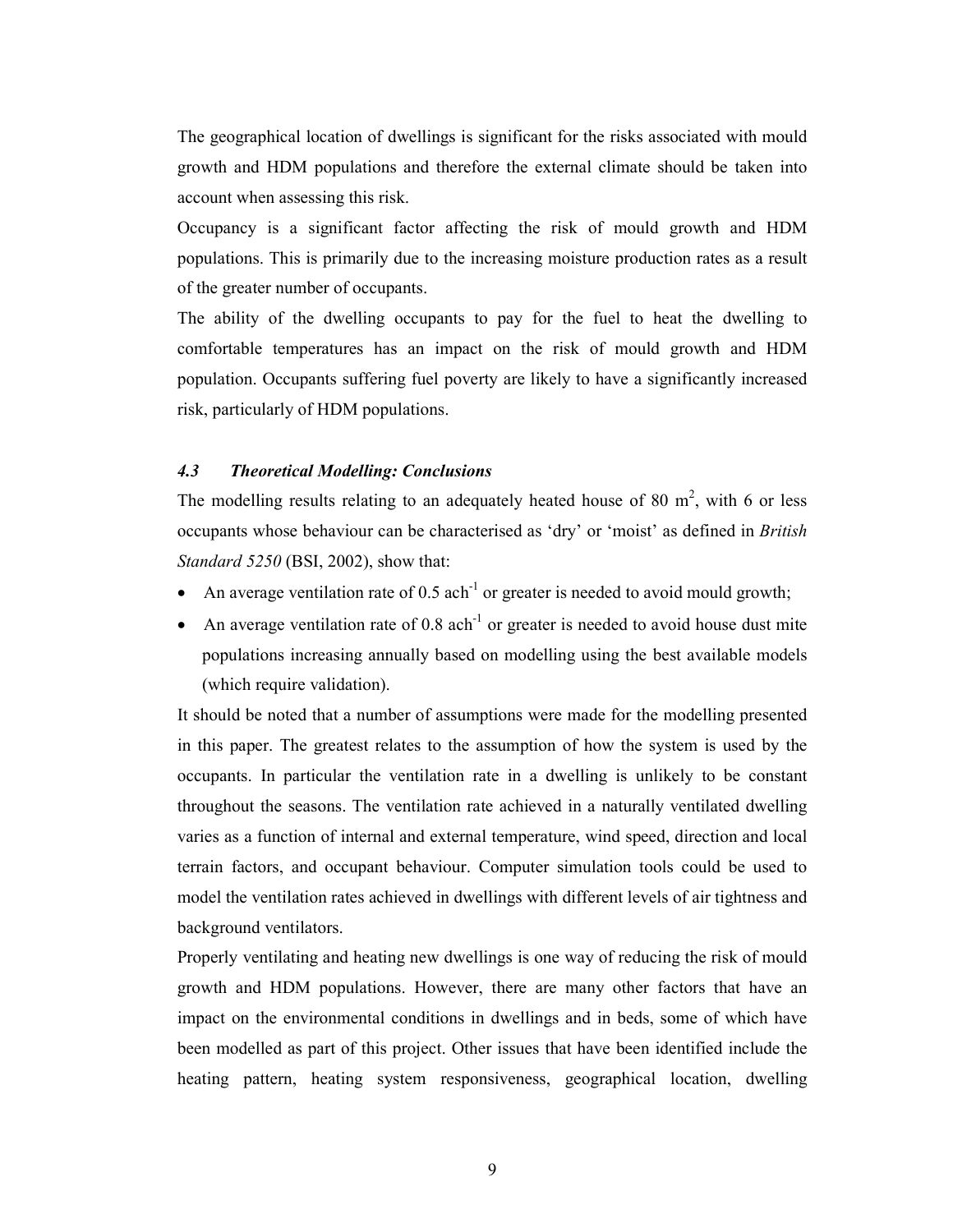The geographical location of dwellings is significant for the risks associated with mould growth and HDM populations and therefore the external climate should be taken into account when assessing this risk.

Occupancy is a significant factor affecting the risk of mould growth and HDM populations. This is primarily due to the increasing moisture production rates as a result of the greater number of occupants.

The ability of the dwelling occupants to pay for the fuel to heat the dwelling to comfortable temperatures has an impact on the risk of mould growth and HDM population. Occupants suffering fuel poverty are likely to have a significantly increased risk, particularly of HDM populations.

# 4.3 Theoretical Modelling: Conclusions

The modelling results relating to an adequately heated house of 80  $m^2$ , with 6 or less occupants whose behaviour can be characterised as 'dry' or 'moist' as defined in British Standard 5250 (BSI, 2002), show that:

- An average ventilation rate of  $0.5$  ach<sup>-1</sup> or greater is needed to avoid mould growth;
- An average ventilation rate of  $0.8$  ach<sup>-1</sup> or greater is needed to avoid house dust mite populations increasing annually based on modelling using the best available models (which require validation).

It should be noted that a number of assumptions were made for the modelling presented in this paper. The greatest relates to the assumption of how the system is used by the occupants. In particular the ventilation rate in a dwelling is unlikely to be constant throughout the seasons. The ventilation rate achieved in a naturally ventilated dwelling varies as a function of internal and external temperature, wind speed, direction and local terrain factors, and occupant behaviour. Computer simulation tools could be used to model the ventilation rates achieved in dwellings with different levels of air tightness and background ventilators.

Properly ventilating and heating new dwellings is one way of reducing the risk of mould growth and HDM populations. However, there are many other factors that have an impact on the environmental conditions in dwellings and in beds, some of which have been modelled as part of this project. Other issues that have been identified include the heating pattern, heating system responsiveness, geographical location, dwelling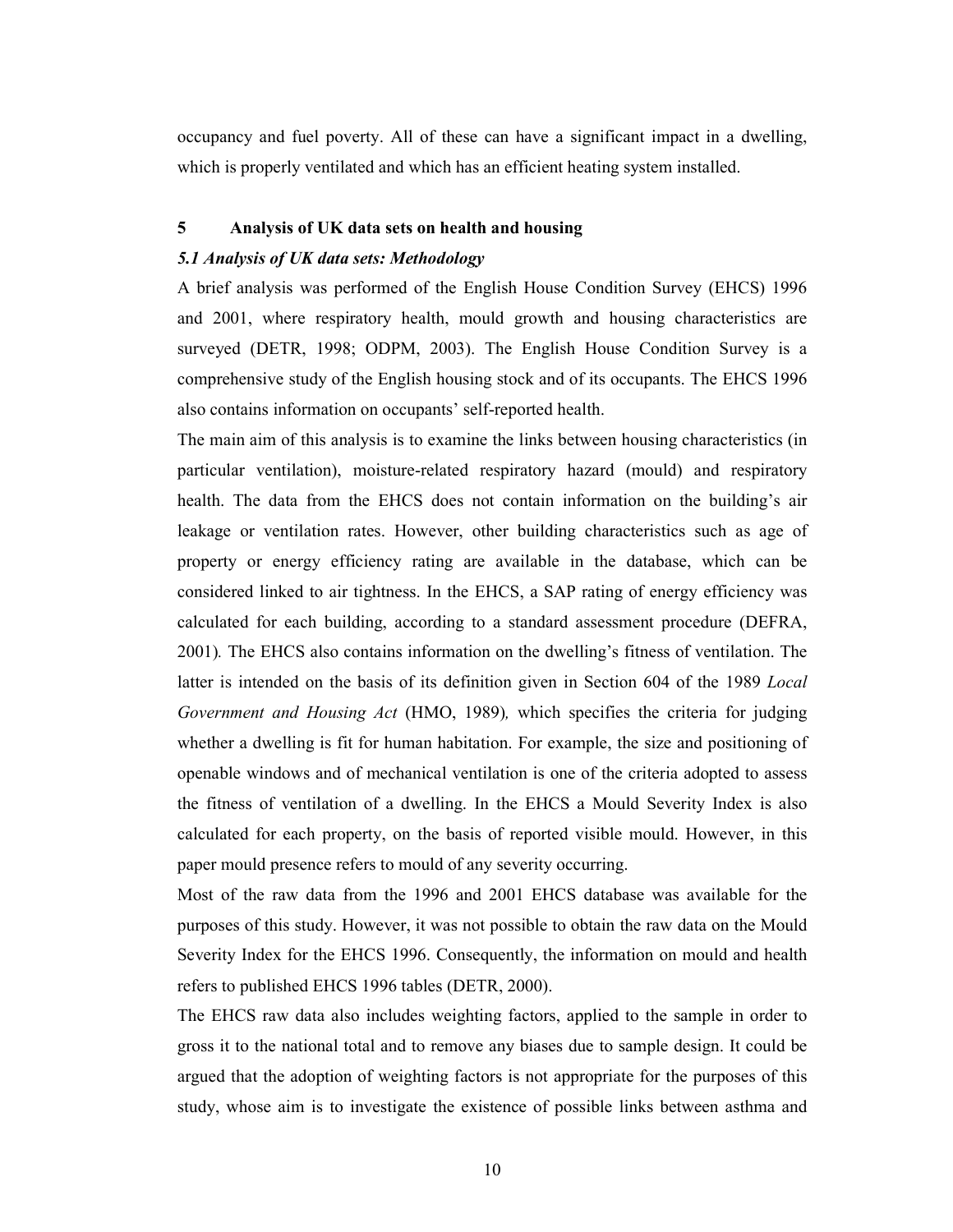occupancy and fuel poverty. All of these can have a significant impact in a dwelling, which is properly ventilated and which has an efficient heating system installed.

#### 5 Analysis of UK data sets on health and housing

#### 5.1 Analysis of UK data sets: Methodology

A brief analysis was performed of the English House Condition Survey (EHCS) 1996 and 2001, where respiratory health, mould growth and housing characteristics are surveyed (DETR, 1998; ODPM, 2003). The English House Condition Survey is a comprehensive study of the English housing stock and of its occupants. The EHCS 1996 also contains information on occupants' self-reported health.

The main aim of this analysis is to examine the links between housing characteristics (in particular ventilation), moisture-related respiratory hazard (mould) and respiratory health. The data from the EHCS does not contain information on the building's air leakage or ventilation rates. However, other building characteristics such as age of property or energy efficiency rating are available in the database, which can be considered linked to air tightness. In the EHCS, a SAP rating of energy efficiency was calculated for each building, according to a standard assessment procedure (DEFRA, 2001). The EHCS also contains information on the dwelling's fitness of ventilation. The latter is intended on the basis of its definition given in Section 604 of the 1989 Local Government and Housing Act (HMO, 1989), which specifies the criteria for judging whether a dwelling is fit for human habitation. For example, the size and positioning of openable windows and of mechanical ventilation is one of the criteria adopted to assess the fitness of ventilation of a dwelling. In the EHCS a Mould Severity Index is also calculated for each property, on the basis of reported visible mould. However, in this paper mould presence refers to mould of any severity occurring.

Most of the raw data from the 1996 and 2001 EHCS database was available for the purposes of this study. However, it was not possible to obtain the raw data on the Mould Severity Index for the EHCS 1996. Consequently, the information on mould and health refers to published EHCS 1996 tables (DETR, 2000).

The EHCS raw data also includes weighting factors, applied to the sample in order to gross it to the national total and to remove any biases due to sample design. It could be argued that the adoption of weighting factors is not appropriate for the purposes of this study, whose aim is to investigate the existence of possible links between asthma and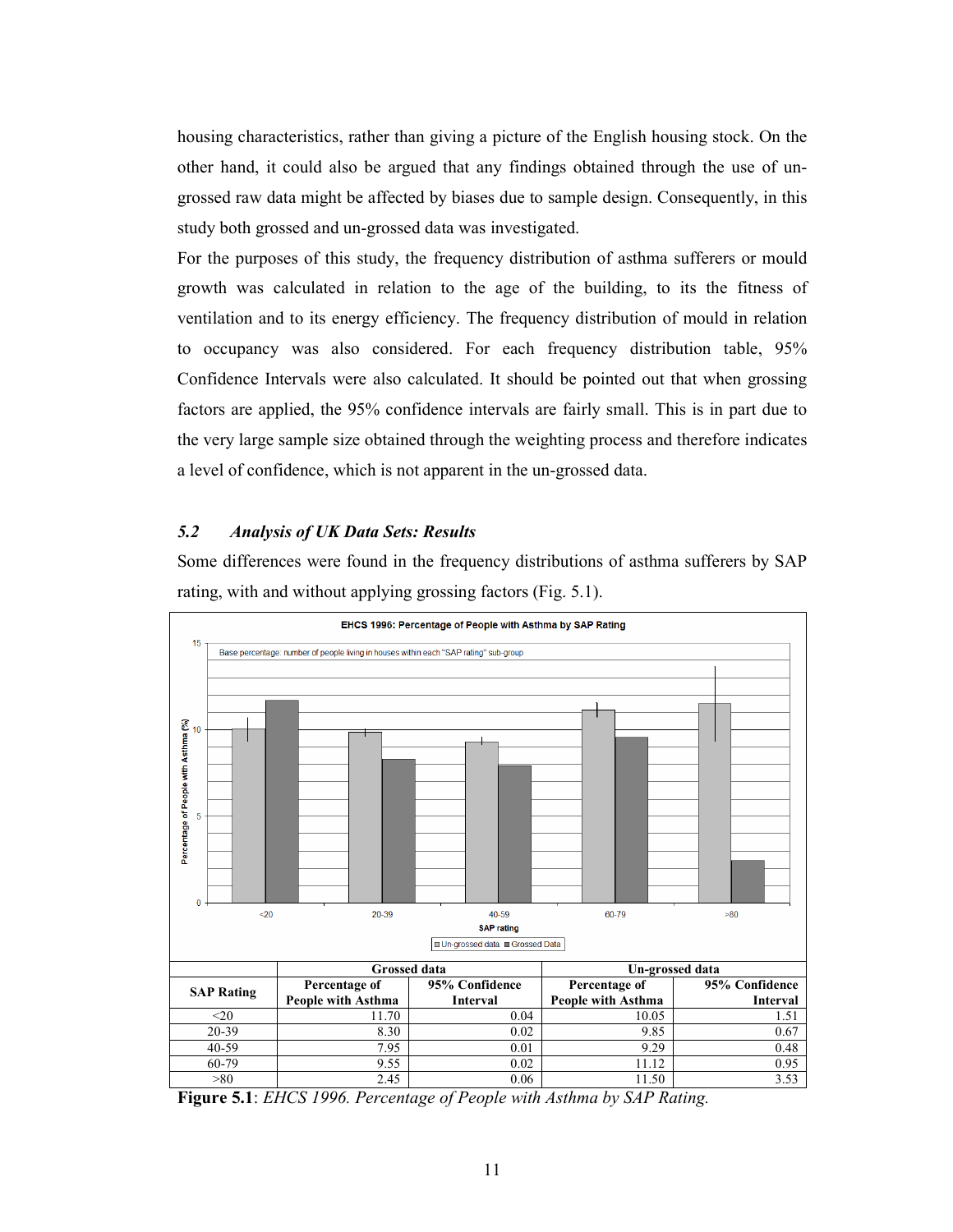housing characteristics, rather than giving a picture of the English housing stock. On the other hand, it could also be argued that any findings obtained through the use of ungrossed raw data might be affected by biases due to sample design. Consequently, in this study both grossed and un-grossed data was investigated.

For the purposes of this study, the frequency distribution of asthma sufferers or mould growth was calculated in relation to the age of the building, to its the fitness of ventilation and to its energy efficiency. The frequency distribution of mould in relation to occupancy was also considered. For each frequency distribution table, 95% Confidence Intervals were also calculated. It should be pointed out that when grossing factors are applied, the 95% confidence intervals are fairly small. This is in part due to the very large sample size obtained through the weighting process and therefore indicates a level of confidence, which is not apparent in the un-grossed data.

# 5.2 Analysis of UK Data Sets: Results

Some differences were found in the frequency distributions of asthma sufferers by SAP rating, with and without applying grossing factors (Fig. 5.1).



Figure 5.1: EHCS 1996. Percentage of People with Asthma by SAP Rating.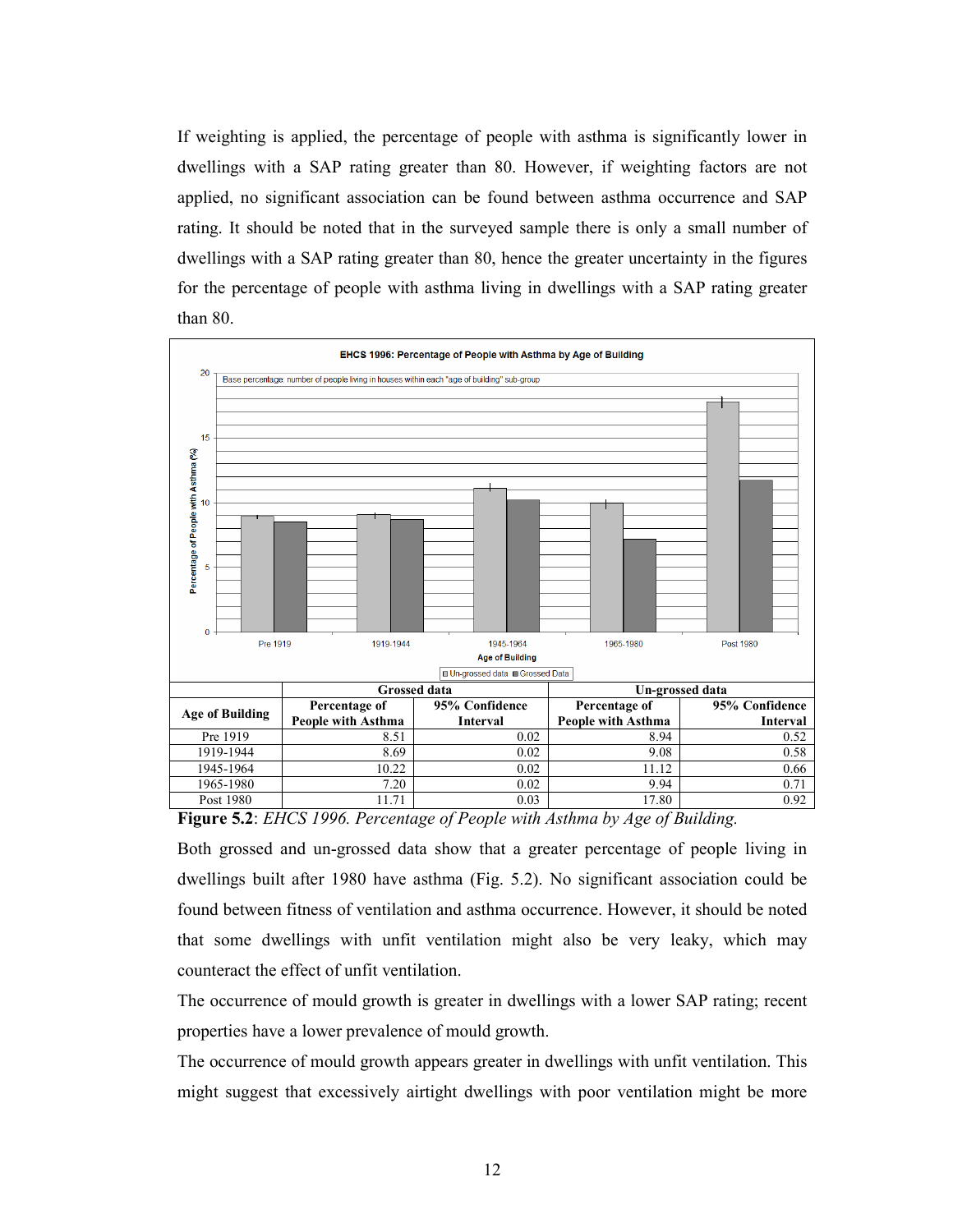If weighting is applied, the percentage of people with asthma is significantly lower in dwellings with a SAP rating greater than 80. However, if weighting factors are not applied, no significant association can be found between asthma occurrence and SAP rating. It should be noted that in the surveyed sample there is only a small number of dwellings with a SAP rating greater than 80, hence the greater uncertainty in the figures for the percentage of people with asthma living in dwellings with a SAP rating greater than 80.



Figure 5.2: EHCS 1996. Percentage of People with Asthma by Age of Building.

Both grossed and un-grossed data show that a greater percentage of people living in dwellings built after 1980 have asthma (Fig. 5.2). No significant association could be found between fitness of ventilation and asthma occurrence. However, it should be noted that some dwellings with unfit ventilation might also be very leaky, which may counteract the effect of unfit ventilation.

The occurrence of mould growth is greater in dwellings with a lower SAP rating; recent properties have a lower prevalence of mould growth.

The occurrence of mould growth appears greater in dwellings with unfit ventilation. This might suggest that excessively airtight dwellings with poor ventilation might be more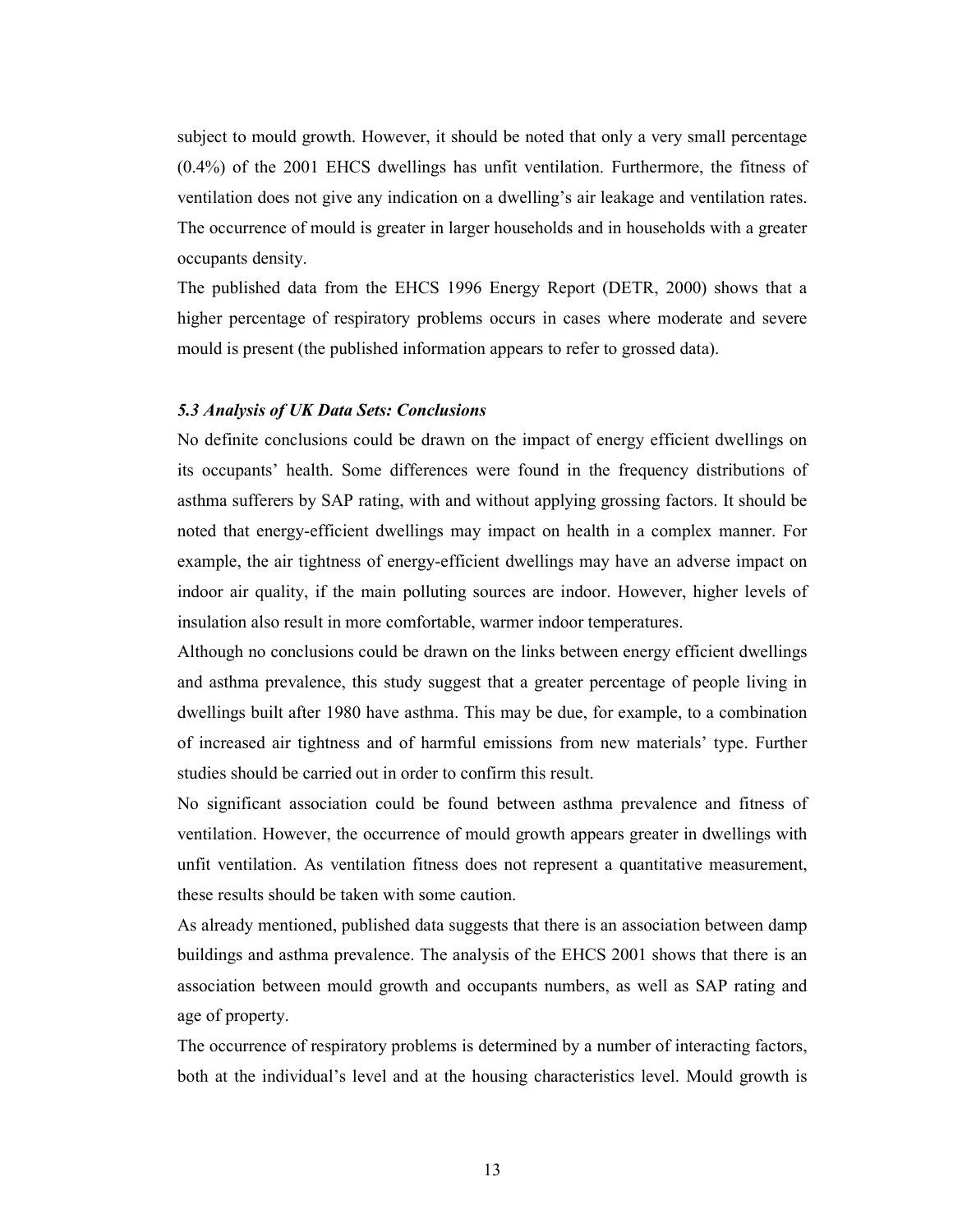subject to mould growth. However, it should be noted that only a very small percentage (0.4%) of the 2001 EHCS dwellings has unfit ventilation. Furthermore, the fitness of ventilation does not give any indication on a dwelling's air leakage and ventilation rates. The occurrence of mould is greater in larger households and in households with a greater occupants density.

The published data from the EHCS 1996 Energy Report (DETR, 2000) shows that a higher percentage of respiratory problems occurs in cases where moderate and severe mould is present (the published information appears to refer to grossed data).

## 5.3 Analysis of UK Data Sets: Conclusions

No definite conclusions could be drawn on the impact of energy efficient dwellings on its occupants' health. Some differences were found in the frequency distributions of asthma sufferers by SAP rating, with and without applying grossing factors. It should be noted that energy-efficient dwellings may impact on health in a complex manner. For example, the air tightness of energy-efficient dwellings may have an adverse impact on indoor air quality, if the main polluting sources are indoor. However, higher levels of insulation also result in more comfortable, warmer indoor temperatures.

Although no conclusions could be drawn on the links between energy efficient dwellings and asthma prevalence, this study suggest that a greater percentage of people living in dwellings built after 1980 have asthma. This may be due, for example, to a combination of increased air tightness and of harmful emissions from new materials' type. Further studies should be carried out in order to confirm this result.

No significant association could be found between asthma prevalence and fitness of ventilation. However, the occurrence of mould growth appears greater in dwellings with unfit ventilation. As ventilation fitness does not represent a quantitative measurement, these results should be taken with some caution.

As already mentioned, published data suggests that there is an association between damp buildings and asthma prevalence. The analysis of the EHCS 2001 shows that there is an association between mould growth and occupants numbers, as well as SAP rating and age of property.

The occurrence of respiratory problems is determined by a number of interacting factors, both at the individual's level and at the housing characteristics level. Mould growth is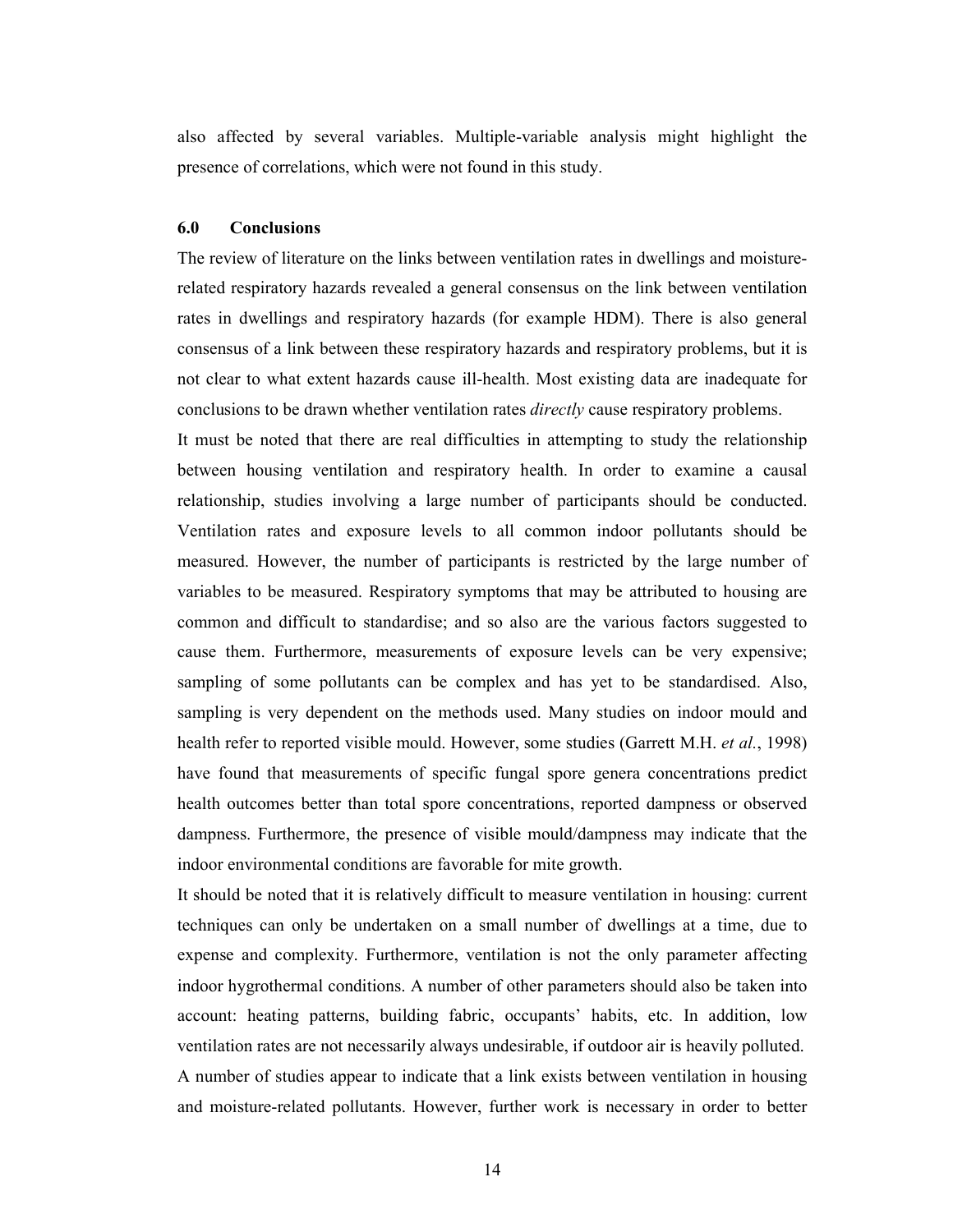also affected by several variables. Multiple-variable analysis might highlight the presence of correlations, which were not found in this study.

## 6.0 Conclusions

The review of literature on the links between ventilation rates in dwellings and moisturerelated respiratory hazards revealed a general consensus on the link between ventilation rates in dwellings and respiratory hazards (for example HDM). There is also general consensus of a link between these respiratory hazards and respiratory problems, but it is not clear to what extent hazards cause ill-health. Most existing data are inadequate for conclusions to be drawn whether ventilation rates *directly* cause respiratory problems.

It must be noted that there are real difficulties in attempting to study the relationship between housing ventilation and respiratory health. In order to examine a causal relationship, studies involving a large number of participants should be conducted. Ventilation rates and exposure levels to all common indoor pollutants should be measured. However, the number of participants is restricted by the large number of variables to be measured. Respiratory symptoms that may be attributed to housing are common and difficult to standardise; and so also are the various factors suggested to cause them. Furthermore, measurements of exposure levels can be very expensive; sampling of some pollutants can be complex and has yet to be standardised. Also, sampling is very dependent on the methods used. Many studies on indoor mould and health refer to reported visible mould. However, some studies (Garrett M.H. *et al.*, 1998) have found that measurements of specific fungal spore genera concentrations predict health outcomes better than total spore concentrations, reported dampness or observed dampness. Furthermore, the presence of visible mould/dampness may indicate that the indoor environmental conditions are favorable for mite growth.

It should be noted that it is relatively difficult to measure ventilation in housing: current techniques can only be undertaken on a small number of dwellings at a time, due to expense and complexity. Furthermore, ventilation is not the only parameter affecting indoor hygrothermal conditions. A number of other parameters should also be taken into account: heating patterns, building fabric, occupants' habits, etc. In addition, low ventilation rates are not necessarily always undesirable, if outdoor air is heavily polluted. A number of studies appear to indicate that a link exists between ventilation in housing and moisture-related pollutants. However, further work is necessary in order to better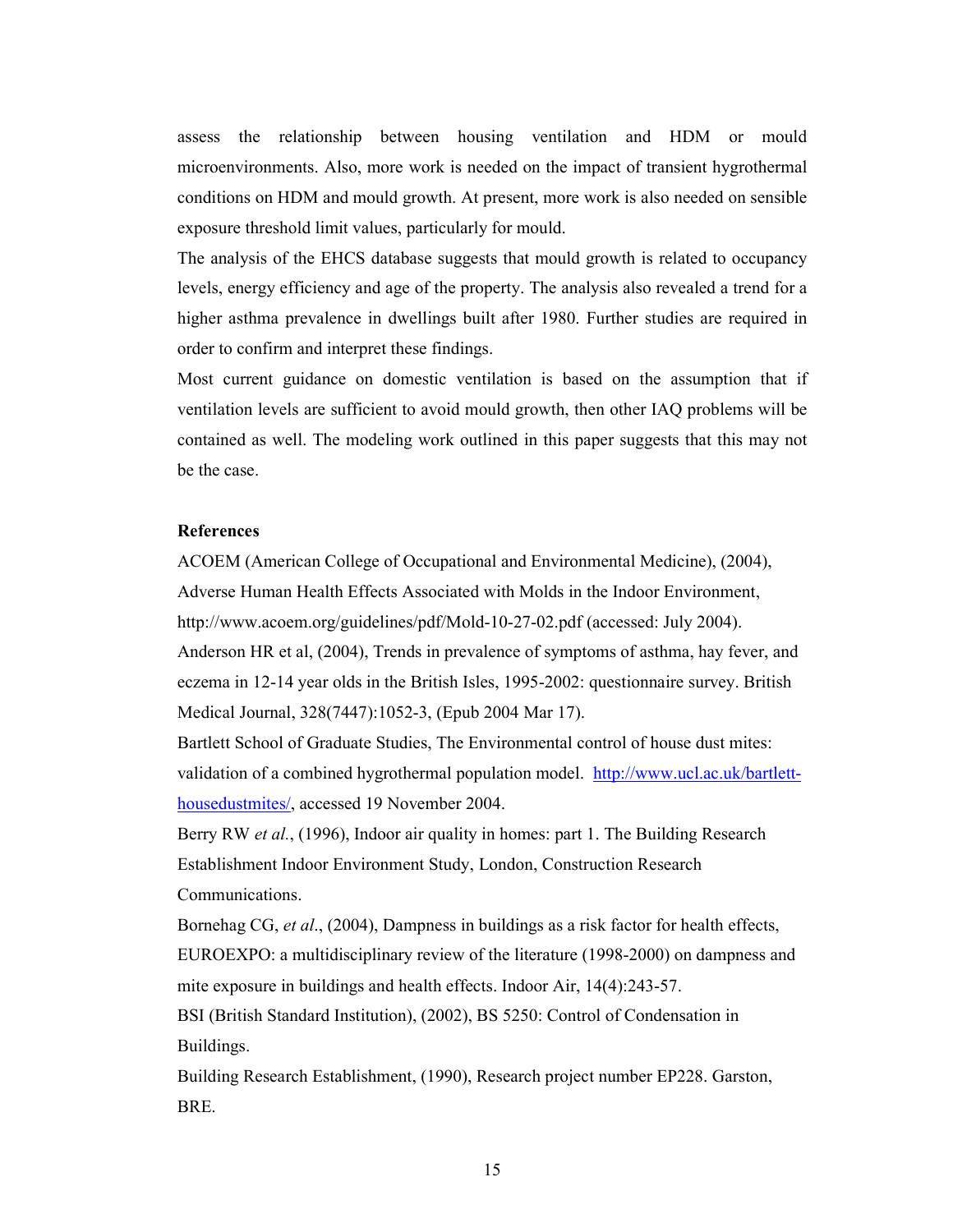assess the relationship between housing ventilation and HDM or mould microenvironments. Also, more work is needed on the impact of transient hygrothermal conditions on HDM and mould growth. At present, more work is also needed on sensible exposure threshold limit values, particularly for mould.

The analysis of the EHCS database suggests that mould growth is related to occupancy levels, energy efficiency and age of the property. The analysis also revealed a trend for a higher asthma prevalence in dwellings built after 1980. Further studies are required in order to confirm and interpret these findings.

Most current guidance on domestic ventilation is based on the assumption that if ventilation levels are sufficient to avoid mould growth, then other IAQ problems will be contained as well. The modeling work outlined in this paper suggests that this may not be the case.

## **References**

ACOEM (American College of Occupational and Environmental Medicine), (2004), Adverse Human Health Effects Associated with Molds in the Indoor Environment, http://www.acoem.org/guidelines/pdf/Mold-10-27-02.pdf (accessed: July 2004). Anderson HR et al, (2004), Trends in prevalence of symptoms of asthma, hay fever, and eczema in 12-14 year olds in the British Isles, 1995-2002: questionnaire survey. British Medical Journal, 328(7447):1052-3, (Epub 2004 Mar 17).

Bartlett School of Graduate Studies, The Environmental control of house dust mites: validation of a combined hygrothermal population model. http://www.ucl.ac.uk/bartletthousedustmites/, accessed 19 November 2004.

Berry RW *et al.*, (1996), Indoor air quality in homes: part 1. The Building Research Establishment Indoor Environment Study, London, Construction Research Communications.

Bornehag CG, et al., (2004), Dampness in buildings as a risk factor for health effects, EUROEXPO: a multidisciplinary review of the literature (1998-2000) on dampness and mite exposure in buildings and health effects. Indoor Air, 14(4):243-57. BSI (British Standard Institution), (2002), BS 5250: Control of Condensation in

Buildings.

Building Research Establishment, (1990), Research project number EP228. Garston, BRE.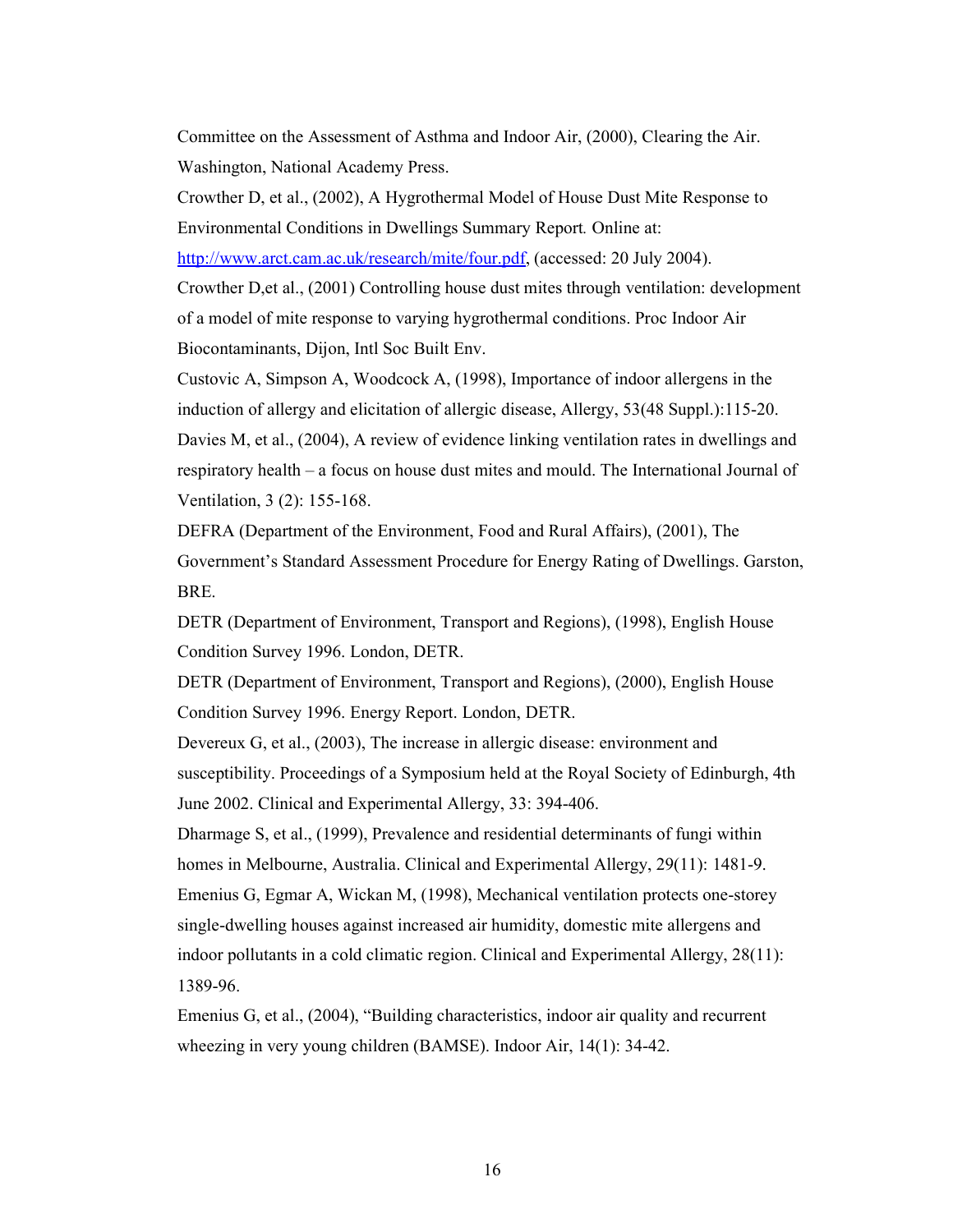Committee on the Assessment of Asthma and Indoor Air, (2000), Clearing the Air. Washington, National Academy Press.

Crowther D, et al., (2002), A Hygrothermal Model of House Dust Mite Response to Environmental Conditions in Dwellings Summary Report. Online at:

http://www.arct.cam.ac.uk/research/mite/four.pdf, (accessed: 20 July 2004).

Crowther D,et al., (2001) Controlling house dust mites through ventilation: development of a model of mite response to varying hygrothermal conditions. Proc Indoor Air Biocontaminants, Dijon, Intl Soc Built Env.

Custovic A, Simpson A, Woodcock A, (1998), Importance of indoor allergens in the induction of allergy and elicitation of allergic disease, Allergy, 53(48 Suppl.):115-20. Davies M, et al., (2004), A review of evidence linking ventilation rates in dwellings and respiratory health – a focus on house dust mites and mould. The International Journal of Ventilation, 3 (2): 155-168.

DEFRA (Department of the Environment, Food and Rural Affairs), (2001), The Government's Standard Assessment Procedure for Energy Rating of Dwellings. Garston, BRE.

DETR (Department of Environment, Transport and Regions), (1998), English House Condition Survey 1996. London, DETR.

DETR (Department of Environment, Transport and Regions), (2000), English House Condition Survey 1996. Energy Report. London, DETR.

Devereux G, et al., (2003), The increase in allergic disease: environment and susceptibility. Proceedings of a Symposium held at the Royal Society of Edinburgh, 4th June 2002. Clinical and Experimental Allergy, 33: 394-406.

Dharmage S, et al., (1999), Prevalence and residential determinants of fungi within homes in Melbourne, Australia. Clinical and Experimental Allergy, 29(11): 1481-9. Emenius G, Egmar A, Wickan M, (1998), Mechanical ventilation protects one-storey single-dwelling houses against increased air humidity, domestic mite allergens and indoor pollutants in a cold climatic region. Clinical and Experimental Allergy, 28(11): 1389-96.

Emenius G, et al., (2004), "Building characteristics, indoor air quality and recurrent wheezing in very young children (BAMSE). Indoor Air, 14(1): 34-42.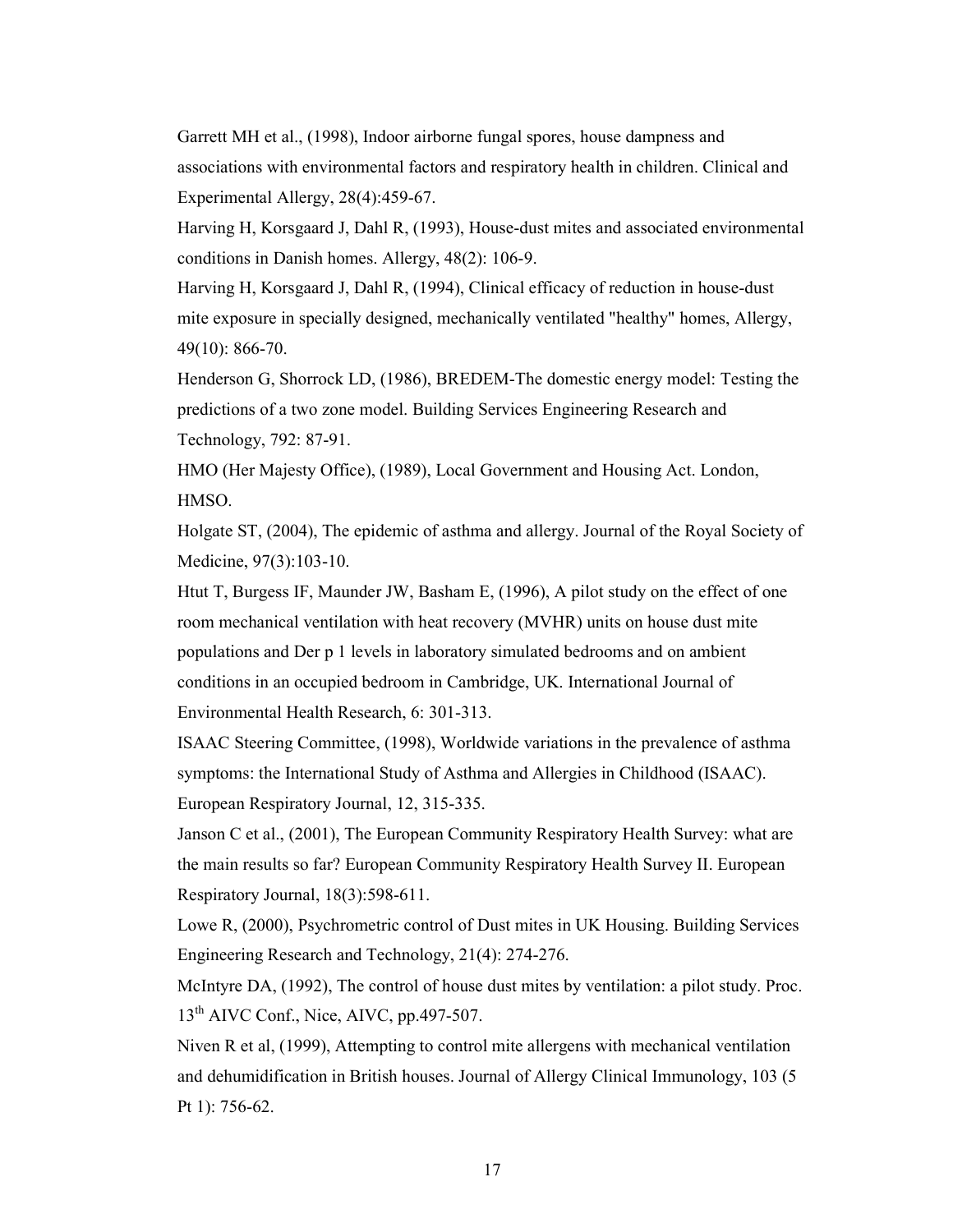Garrett MH et al., (1998), Indoor airborne fungal spores, house dampness and associations with environmental factors and respiratory health in children. Clinical and Experimental Allergy, 28(4):459-67.

Harving H, Korsgaard J, Dahl R, (1993), House-dust mites and associated environmental conditions in Danish homes. Allergy, 48(2): 106-9.

Harving H, Korsgaard J, Dahl R, (1994), Clinical efficacy of reduction in house-dust mite exposure in specially designed, mechanically ventilated "healthy" homes, Allergy, 49(10): 866-70.

Henderson G, Shorrock LD, (1986), BREDEM-The domestic energy model: Testing the predictions of a two zone model. Building Services Engineering Research and Technology, 792: 87-91.

HMO (Her Majesty Office), (1989), Local Government and Housing Act. London, HMSO.

Holgate ST, (2004), The epidemic of asthma and allergy. Journal of the Royal Society of Medicine, 97(3):103-10.

Htut T, Burgess IF, Maunder JW, Basham E, (1996), A pilot study on the effect of one room mechanical ventilation with heat recovery (MVHR) units on house dust mite populations and Der p 1 levels in laboratory simulated bedrooms and on ambient conditions in an occupied bedroom in Cambridge, UK. International Journal of Environmental Health Research, 6: 301-313.

ISAAC Steering Committee, (1998), Worldwide variations in the prevalence of asthma symptoms: the International Study of Asthma and Allergies in Childhood (ISAAC). European Respiratory Journal, 12, 315-335.

Janson C et al., (2001), The European Community Respiratory Health Survey: what are the main results so far? European Community Respiratory Health Survey II. European Respiratory Journal, 18(3):598-611.

Lowe R, (2000), Psychrometric control of Dust mites in UK Housing. Building Services Engineering Research and Technology, 21(4): 274-276.

McIntyre DA, (1992), The control of house dust mites by ventilation: a pilot study. Proc. 13<sup>th</sup> AIVC Conf., Nice, AIVC, pp.497-507.

Niven R et al, (1999), Attempting to control mite allergens with mechanical ventilation and dehumidification in British houses. Journal of Allergy Clinical Immunology, 103 (5 Pt 1): 756-62.